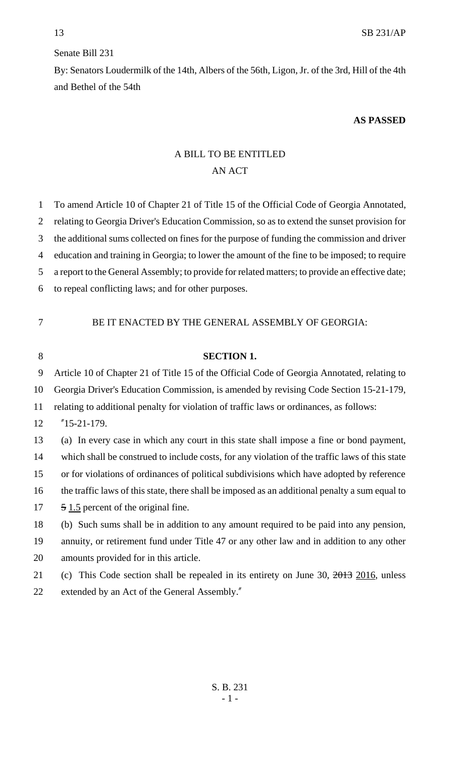## Senate Bill 231

By: Senators Loudermilk of the 14th, Albers of the 56th, Ligon, Jr. of the 3rd, Hill of the 4th and Bethel of the 54th

## **AS PASSED**

## A BILL TO BE ENTITLED AN ACT

| $\mathbf{1}$ | To amend Article 10 of Chapter 21 of Title 15 of the Official Code of Georgia Annotated,        |
|--------------|-------------------------------------------------------------------------------------------------|
| 2            | relating to Georgia Driver's Education Commission, so as to extend the sunset provision for     |
| 3            | the additional sums collected on fines for the purpose of funding the commission and driver     |
| 4            | education and training in Georgia; to lower the amount of the fine to be imposed; to require    |
| 5            | a report to the General Assembly; to provide for related matters; to provide an effective date; |
| 6            | to repeal conflicting laws; and for other purposes.                                             |
|              |                                                                                                 |
| 7            | BE IT ENACTED BY THE GENERAL ASSEMBLY OF GEORGIA:                                               |
| 8            | <b>SECTION 1.</b>                                                                               |
| 9            | Article 10 of Chapter 21 of Title 15 of the Official Code of Georgia Annotated, relating to     |
| 10           | Georgia Driver's Education Commission, is amended by revising Code Section 15-21-179,           |
|              |                                                                                                 |
| 11           | relating to additional penalty for violation of traffic laws or ordinances, as follows:         |
| 12           | $"15-21-179.$                                                                                   |
| 13           | (a) In every case in which any court in this state shall impose a fine or bond payment,         |
| 14           | which shall be construed to include costs, for any violation of the traffic laws of this state  |
| 15           | or for violations of ordinances of political subdivisions which have adopted by reference       |
| 16           | the traffic laws of this state, there shall be imposed as an additional penalty a sum equal to  |
| 17           | 5 1.5 percent of the original fine.                                                             |
| 18           | (b) Such sums shall be in addition to any amount required to be paid into any pension,          |
| 19           | annuity, or retirement fund under Title 47 or any other law and in addition to any other        |
| 20           | amounts provided for in this article.                                                           |
| 21           | (c) This Code section shall be repealed in its entirety on June 30, $2013$ 2016, unless         |
| 22           | extended by an Act of the General Assembly."                                                    |